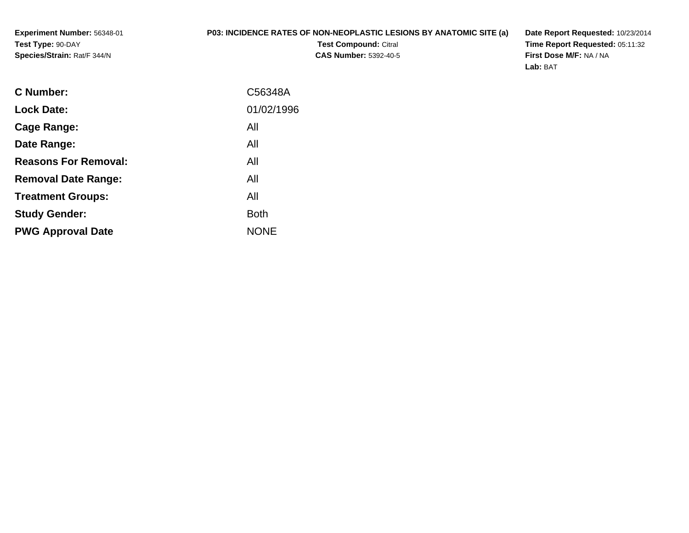**Experiment Number:** 56348-01**Test Type:** 90-DAY**Species/Strain:** Rat/F 344/N

## **P03: INCIDENCE RATES OF NON-NEOPLASTIC LESIONS BY ANATOMIC SITE (a)**

**Test Compound:** Citral **CAS Number:** 5392-40-5 **Date Report Requested:** 10/23/2014 **Time Report Requested:** 05:11:32**First Dose M/F:** NA / NA**Lab:** BAT

| C Number:                   | C56348A     |
|-----------------------------|-------------|
| <b>Lock Date:</b>           | 01/02/1996  |
| Cage Range:                 | All         |
| Date Range:                 | All         |
| <b>Reasons For Removal:</b> | All         |
| <b>Removal Date Range:</b>  | All         |
| <b>Treatment Groups:</b>    | All         |
| <b>Study Gender:</b>        | <b>Both</b> |
| <b>PWG Approval Date</b>    | <b>NONE</b> |
|                             |             |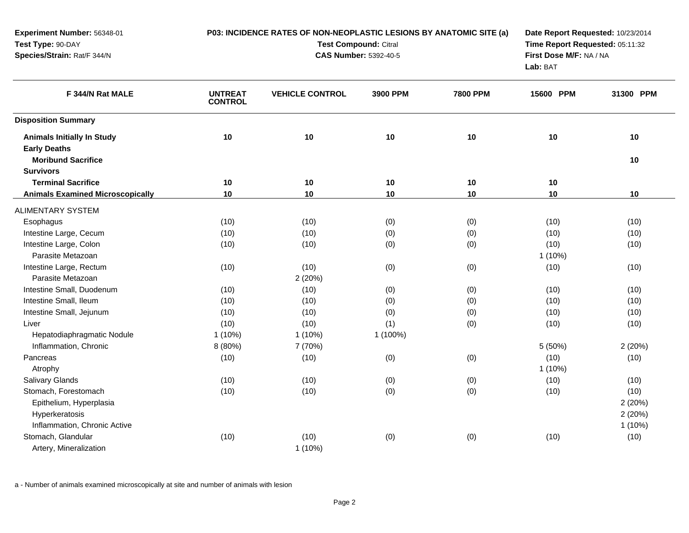| Experiment Number: 56348-01<br>Test Type: 90-DAY<br>Species/Strain: Rat/F 344/N       |                                  | P03: INCIDENCE RATES OF NON-NEOPLASTIC LESIONS BY ANATOMIC SITE (a)<br><b>Test Compound: Citral</b><br><b>CAS Number: 5392-40-5</b> | Date Report Requested: 10/23/2014<br>Time Report Requested: 05:11:32<br>First Dose M/F: NA / NA<br>Lab: BAT |                 |           |           |
|---------------------------------------------------------------------------------------|----------------------------------|-------------------------------------------------------------------------------------------------------------------------------------|-------------------------------------------------------------------------------------------------------------|-----------------|-----------|-----------|
| F 344/N Rat MALE                                                                      | <b>UNTREAT</b><br><b>CONTROL</b> | <b>VEHICLE CONTROL</b>                                                                                                              | 3900 PPM                                                                                                    | <b>7800 PPM</b> | 15600 PPM | 31300 PPM |
| <b>Disposition Summary</b>                                                            |                                  |                                                                                                                                     |                                                                                                             |                 |           |           |
| <b>Animals Initially In Study</b><br><b>Early Deaths</b><br><b>Moribund Sacrifice</b> | 10                               | 10                                                                                                                                  | 10                                                                                                          | 10              | 10        | 10<br>10  |
| <b>Survivors</b>                                                                      |                                  |                                                                                                                                     |                                                                                                             |                 |           |           |
| <b>Terminal Sacrifice</b>                                                             | $10$                             | $10$                                                                                                                                | 10                                                                                                          | 10              | 10        |           |
| <b>Animals Examined Microscopically</b>                                               | 10                               | 10                                                                                                                                  | 10                                                                                                          | 10              | 10        | 10        |
| <b>ALIMENTARY SYSTEM</b>                                                              |                                  |                                                                                                                                     |                                                                                                             |                 |           |           |
| Esophagus                                                                             | (10)                             | (10)                                                                                                                                | (0)                                                                                                         | (0)             | (10)      | (10)      |
| Intestine Large, Cecum                                                                | (10)                             | (10)                                                                                                                                | (0)                                                                                                         | (0)             | (10)      | (10)      |
| Intestine Large, Colon                                                                | (10)                             | (10)                                                                                                                                | (0)                                                                                                         | (0)             | (10)      | (10)      |
| Parasite Metazoan                                                                     |                                  |                                                                                                                                     |                                                                                                             |                 | $1(10\%)$ |           |
| Intestine Large, Rectum                                                               | (10)                             | (10)                                                                                                                                | (0)                                                                                                         | (0)             | (10)      | (10)      |
| Parasite Metazoan                                                                     |                                  | 2(20%)                                                                                                                              |                                                                                                             |                 |           |           |
| Intestine Small, Duodenum                                                             | (10)                             | (10)                                                                                                                                | (0)                                                                                                         | (0)             | (10)      | (10)      |
| Intestine Small, Ileum                                                                | (10)                             | (10)                                                                                                                                | (0)                                                                                                         | (0)             | (10)      | (10)      |
| Intestine Small, Jejunum                                                              | (10)                             | (10)                                                                                                                                | (0)                                                                                                         | (0)             | (10)      | (10)      |
| Liver                                                                                 | (10)                             | (10)                                                                                                                                | (1)                                                                                                         | (0)             | (10)      | (10)      |
| Hepatodiaphragmatic Nodule                                                            | $1(10\%)$                        | $1(10\%)$                                                                                                                           | 1 (100%)                                                                                                    |                 |           |           |
| Inflammation, Chronic                                                                 | 8 (80%)                          | 7 (70%)                                                                                                                             |                                                                                                             |                 | 5 (50%)   | 2(20%)    |
| Pancreas                                                                              | (10)                             | (10)                                                                                                                                | (0)                                                                                                         | (0)             | (10)      | (10)      |
| Atrophy                                                                               |                                  |                                                                                                                                     |                                                                                                             |                 | $1(10\%)$ |           |
| <b>Salivary Glands</b>                                                                | (10)                             | (10)                                                                                                                                | (0)                                                                                                         | (0)             | (10)      | (10)      |
| Stomach, Forestomach                                                                  | (10)                             | (10)                                                                                                                                | (0)                                                                                                         | (0)             | (10)      | (10)      |
| Epithelium, Hyperplasia                                                               |                                  |                                                                                                                                     |                                                                                                             |                 |           | 2(20%)    |
| Hyperkeratosis                                                                        |                                  |                                                                                                                                     |                                                                                                             |                 |           | 2(20%)    |
| Inflammation, Chronic Active                                                          |                                  |                                                                                                                                     |                                                                                                             |                 |           | $1(10\%)$ |
| Stomach, Glandular                                                                    | (10)                             | (10)                                                                                                                                | (0)                                                                                                         | (0)             | (10)      | (10)      |
| Artery, Mineralization                                                                |                                  | $1(10\%)$                                                                                                                           |                                                                                                             |                 |           |           |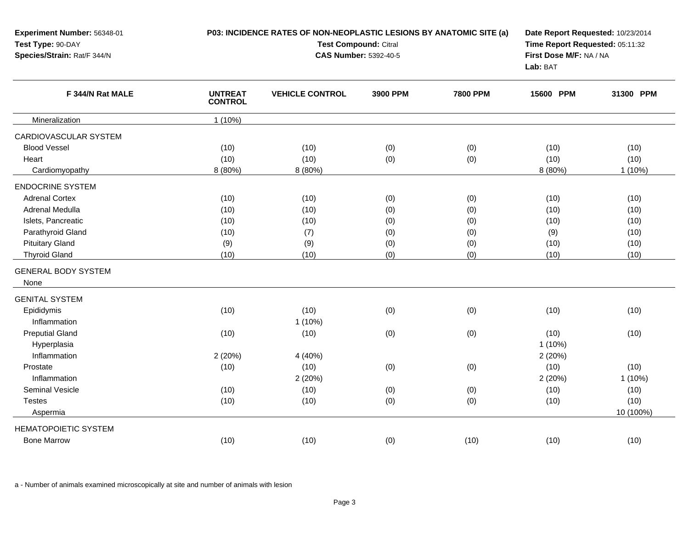| Experiment Number: 56348-01<br>Test Type: 90-DAY |                                  | P03: INCIDENCE RATES OF NON-NEOPLASTIC LESIONS BY ANATOMIC SITE (a)<br><b>Test Compound: Citral</b> | Date Report Requested: 10/23/2014<br>Time Report Requested: 05:11:32 |                 |           |           |
|--------------------------------------------------|----------------------------------|-----------------------------------------------------------------------------------------------------|----------------------------------------------------------------------|-----------------|-----------|-----------|
| Species/Strain: Rat/F 344/N<br>F 344/N Rat MALE  |                                  | <b>CAS Number: 5392-40-5</b>                                                                        | First Dose M/F: NA / NA<br>Lab: BAT                                  |                 |           |           |
|                                                  | <b>UNTREAT</b><br><b>CONTROL</b> | <b>VEHICLE CONTROL</b>                                                                              | 3900 PPM                                                             | <b>7800 PPM</b> | 15600 PPM | 31300 PPM |
| Mineralization                                   | $1(10\%)$                        |                                                                                                     |                                                                      |                 |           |           |
| CARDIOVASCULAR SYSTEM                            |                                  |                                                                                                     |                                                                      |                 |           |           |
| <b>Blood Vessel</b>                              | (10)                             | (10)                                                                                                | (0)                                                                  | (0)             | (10)      | (10)      |
| Heart                                            | (10)                             | (10)                                                                                                | (0)                                                                  | (0)             | (10)      | (10)      |
| Cardiomyopathy                                   | 8 (80%)                          | 8 (80%)                                                                                             |                                                                      |                 | 8 (80%)   | $1(10\%)$ |
| <b>ENDOCRINE SYSTEM</b>                          |                                  |                                                                                                     |                                                                      |                 |           |           |
| <b>Adrenal Cortex</b>                            | (10)                             | (10)                                                                                                | (0)                                                                  | (0)             | (10)      | (10)      |
| Adrenal Medulla                                  | (10)                             | (10)                                                                                                | (0)                                                                  | (0)             | (10)      | (10)      |
| Islets, Pancreatic                               | (10)                             | (10)                                                                                                | (0)                                                                  | (0)             | (10)      | (10)      |
| Parathyroid Gland                                | (10)                             | (7)                                                                                                 | (0)                                                                  | (0)             | (9)       | (10)      |
| <b>Pituitary Gland</b>                           | (9)                              | (9)                                                                                                 | (0)                                                                  | (0)             | (10)      | (10)      |
| <b>Thyroid Gland</b>                             | (10)                             | (10)                                                                                                | (0)                                                                  | (0)             | (10)      | (10)      |
| <b>GENERAL BODY SYSTEM</b>                       |                                  |                                                                                                     |                                                                      |                 |           |           |
| None                                             |                                  |                                                                                                     |                                                                      |                 |           |           |
| <b>GENITAL SYSTEM</b>                            |                                  |                                                                                                     |                                                                      |                 |           |           |
| Epididymis                                       | (10)                             | (10)                                                                                                | (0)                                                                  | (0)             | (10)      | (10)      |
| Inflammation                                     |                                  | $1(10\%)$                                                                                           |                                                                      |                 |           |           |
| <b>Preputial Gland</b>                           | (10)                             | (10)                                                                                                | (0)                                                                  | (0)             | (10)      | (10)      |
| Hyperplasia                                      |                                  |                                                                                                     |                                                                      |                 | $1(10\%)$ |           |
| Inflammation                                     | 2(20%)                           | 4 (40%)                                                                                             |                                                                      |                 | 2(20%)    |           |
| Prostate                                         | (10)                             | (10)                                                                                                | (0)                                                                  | (0)             | (10)      | (10)      |
| Inflammation                                     |                                  | 2(20%)                                                                                              |                                                                      |                 | 2 (20%)   | 1(10%)    |
| Seminal Vesicle                                  | (10)                             | (10)                                                                                                | (0)                                                                  | (0)             | (10)      | (10)      |
| <b>Testes</b>                                    | (10)                             | (10)                                                                                                | (0)                                                                  | (0)             | (10)      | (10)      |
| Aspermia                                         |                                  |                                                                                                     |                                                                      |                 |           | 10 (100%) |
| <b>HEMATOPOIETIC SYSTEM</b>                      |                                  |                                                                                                     |                                                                      |                 |           |           |
| <b>Bone Marrow</b>                               | (10)                             | (10)                                                                                                | (0)                                                                  | (10)            | (10)      | (10)      |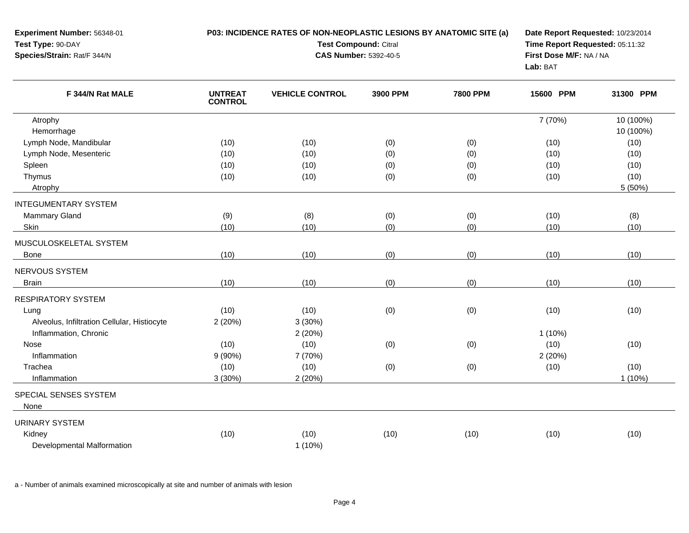| <b>Experiment Number: 56348-01</b> | <b>P03: INCIDENCE RATES OF NON-NEOPLASTIC LESIONS BY ANATOMIC SITE (a)</b> | Date Report Requested: 10/23/2014 |
|------------------------------------|----------------------------------------------------------------------------|-----------------------------------|
| <b>Test Type: 90-DAY</b>           | <b>Test Compound: Citral</b>                                               | Time Report Requested: 05:11:32   |
| <b>Species/Strain: Rat/F 344/N</b> | <b>CAS Number: 5392-40-5</b>                                               | First Dose M/F: NA / NA           |
|                                    |                                                                            | <b>Lab: BAT</b>                   |

| F 344/N Rat MALE                            | <b>UNTREAT</b><br><b>CONTROL</b> | <b>VEHICLE CONTROL</b> | 3900 PPM | <b>7800 PPM</b> | 15600 PPM | 31300 PPM |
|---------------------------------------------|----------------------------------|------------------------|----------|-----------------|-----------|-----------|
| Atrophy                                     |                                  |                        |          |                 | 7 (70%)   | 10 (100%) |
| Hemorrhage                                  |                                  |                        |          |                 |           | 10 (100%) |
| Lymph Node, Mandibular                      | (10)                             | (10)                   | (0)      | (0)             | (10)      | (10)      |
| Lymph Node, Mesenteric                      | (10)                             | (10)                   | (0)      | (0)             | (10)      | (10)      |
| Spleen                                      | (10)                             | (10)                   | (0)      | (0)             | (10)      | (10)      |
| Thymus                                      | (10)                             | (10)                   | (0)      | (0)             | (10)      | (10)      |
| Atrophy                                     |                                  |                        |          |                 |           | 5 (50%)   |
| <b>INTEGUMENTARY SYSTEM</b>                 |                                  |                        |          |                 |           |           |
| <b>Mammary Gland</b>                        | (9)                              | (8)                    | (0)      | (0)             | (10)      | (8)       |
| Skin                                        | (10)                             | (10)                   | (0)      | (0)             | (10)      | (10)      |
| MUSCULOSKELETAL SYSTEM                      |                                  |                        |          |                 |           |           |
| <b>Bone</b>                                 | (10)                             | (10)                   | (0)      | (0)             | (10)      | (10)      |
| NERVOUS SYSTEM                              |                                  |                        |          |                 |           |           |
| <b>Brain</b>                                | (10)                             | (10)                   | (0)      | (0)             | (10)      | (10)      |
| <b>RESPIRATORY SYSTEM</b>                   |                                  |                        |          |                 |           |           |
| Lung                                        | (10)                             | (10)                   | (0)      | (0)             | (10)      | (10)      |
| Alveolus, Infiltration Cellular, Histiocyte | 2(20%)                           | 3(30%)                 |          |                 |           |           |
| Inflammation, Chronic                       |                                  | 2(20%)                 |          |                 | $1(10\%)$ |           |
| Nose                                        | (10)                             | (10)                   | (0)      | (0)             | (10)      | (10)      |
| Inflammation                                | $9(90\%)$                        | 7 (70%)                |          |                 | 2 (20%)   |           |
| Trachea                                     | (10)                             | (10)                   | (0)      | (0)             | (10)      | (10)      |
| Inflammation                                | 3(30%)                           | 2(20%)                 |          |                 |           | $1(10\%)$ |
| <b>SPECIAL SENSES SYSTEM</b>                |                                  |                        |          |                 |           |           |
| None                                        |                                  |                        |          |                 |           |           |
| <b>URINARY SYSTEM</b>                       |                                  |                        |          |                 |           |           |
| Kidney                                      | (10)                             | (10)                   | (10)     | (10)            | (10)      | (10)      |
| Developmental Malformation                  |                                  | $1(10\%)$              |          |                 |           |           |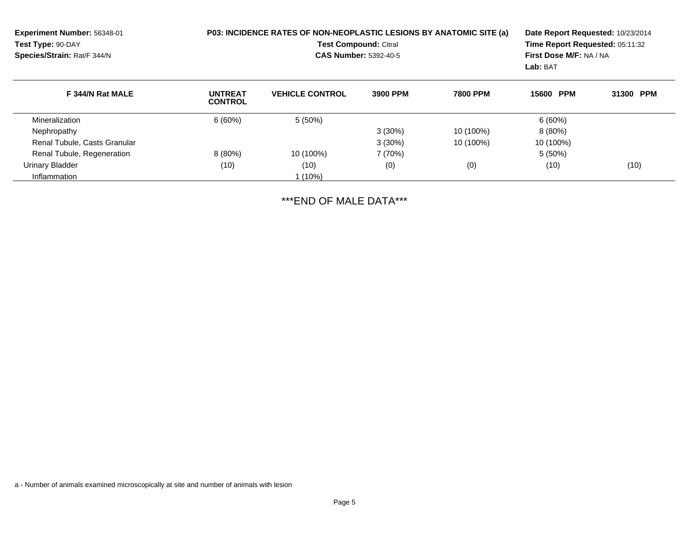| Experiment Number: 56348-01<br>Test Type: 90-DAY<br>Species/Strain: Rat/F 344/N |                                  | P03: INCIDENCE RATES OF NON-NEOPLASTIC LESIONS BY ANATOMIC SITE (a)<br><b>Test Compound: Citral</b><br><b>CAS Number: 5392-40-5</b> | First Dose M/F: NA / NA<br>Lab: BAT | Date Report Requested: 10/23/2014<br>Time Report Requested: 05:11:32 |           |           |
|---------------------------------------------------------------------------------|----------------------------------|-------------------------------------------------------------------------------------------------------------------------------------|-------------------------------------|----------------------------------------------------------------------|-----------|-----------|
| F 344/N Rat MALE                                                                | <b>UNTREAT</b><br><b>CONTROL</b> | <b>VEHICLE CONTROL</b>                                                                                                              | 3900 PPM                            | <b>7800 PPM</b>                                                      | 15600 PPM | 31300 PPM |
| Mineralization                                                                  | 6(60%)                           | $5(50\%)$                                                                                                                           |                                     |                                                                      | 6(60%)    |           |
| Nephropathy                                                                     |                                  |                                                                                                                                     | $3(30\%)$                           | 10 (100%)                                                            | $8(80\%)$ |           |
| Renal Tubule, Casts Granular                                                    |                                  |                                                                                                                                     | $3(30\%)$                           | 10 (100%)                                                            | 10 (100%) |           |
| Renal Tubule, Regeneration                                                      | $8(80\%)$                        | 10 (100%)                                                                                                                           | 7 (70%)                             |                                                                      | $5(50\%)$ |           |
| <b>Urinary Bladder</b>                                                          | (10)                             | (10)                                                                                                                                | (0)                                 | (0)                                                                  | (10)      | (10)      |
| Inflammation                                                                    |                                  | $1(10\%)$                                                                                                                           |                                     |                                                                      |           |           |

\*\*\*END OF MALE DATA\*\*\*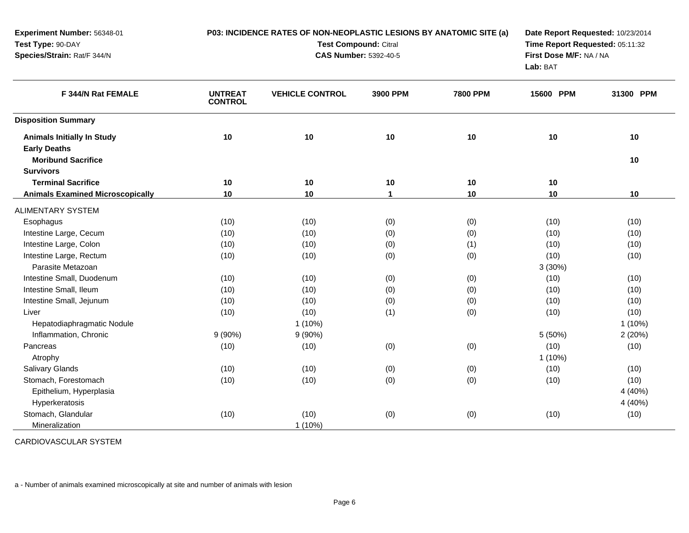| Experiment Number: 56348-01<br>Test Type: 90-DAY         |                                  | P03: INCIDENCE RATES OF NON-NEOPLASTIC LESIONS BY ANATOMIC SITE (a)<br><b>Test Compound: Citral</b> | Date Report Requested: 10/23/2014<br>Time Report Requested: 05:11:32 |                 |           |           |
|----------------------------------------------------------|----------------------------------|-----------------------------------------------------------------------------------------------------|----------------------------------------------------------------------|-----------------|-----------|-----------|
| Species/Strain: Rat/F 344/N<br>F 344/N Rat FEMALE        |                                  | <b>CAS Number: 5392-40-5</b>                                                                        | First Dose M/F: NA / NA<br>Lab: BAT                                  |                 |           |           |
|                                                          | <b>UNTREAT</b><br><b>CONTROL</b> | <b>VEHICLE CONTROL</b>                                                                              | 3900 PPM                                                             | <b>7800 PPM</b> | 15600 PPM | 31300 PPM |
| <b>Disposition Summary</b>                               |                                  |                                                                                                     |                                                                      |                 |           |           |
| <b>Animals Initially In Study</b><br><b>Early Deaths</b> | 10                               | 10                                                                                                  | 10                                                                   | 10              | 10        | 10        |
| <b>Moribund Sacrifice</b><br><b>Survivors</b>            |                                  |                                                                                                     |                                                                      |                 |           | 10        |
| <b>Terminal Sacrifice</b>                                | 10                               | 10                                                                                                  | 10                                                                   | 10              | 10        |           |
| <b>Animals Examined Microscopically</b>                  | 10                               | 10                                                                                                  | $\mathbf{1}$                                                         | 10              | 10        | 10        |
| <b>ALIMENTARY SYSTEM</b>                                 |                                  |                                                                                                     |                                                                      |                 |           |           |
| Esophagus                                                | (10)                             | (10)                                                                                                | (0)                                                                  | (0)             | (10)      | (10)      |
| Intestine Large, Cecum                                   | (10)                             | (10)                                                                                                | (0)                                                                  | (0)             | (10)      | (10)      |
| Intestine Large, Colon                                   | (10)                             | (10)                                                                                                | (0)                                                                  | (1)             | (10)      | (10)      |
| Intestine Large, Rectum                                  | (10)                             | (10)                                                                                                | (0)                                                                  | (0)             | (10)      | (10)      |
| Parasite Metazoan                                        |                                  |                                                                                                     |                                                                      |                 | 3(30%)    |           |
| Intestine Small, Duodenum                                | (10)                             | (10)                                                                                                | (0)                                                                  | (0)             | (10)      | (10)      |
| Intestine Small, Ileum                                   | (10)                             | (10)                                                                                                | (0)                                                                  | (0)             | (10)      | (10)      |
| Intestine Small, Jejunum                                 | (10)                             | (10)                                                                                                | (0)                                                                  | (0)             | (10)      | (10)      |
| Liver                                                    | (10)                             | (10)                                                                                                | (1)                                                                  | (0)             | (10)      | (10)      |
| Hepatodiaphragmatic Nodule                               |                                  | $1(10\%)$                                                                                           |                                                                      |                 |           | $1(10\%)$ |
| Inflammation, Chronic                                    | 9(90%)                           | $9(90\%)$                                                                                           |                                                                      |                 | 5 (50%)   | 2(20%)    |
| Pancreas                                                 | (10)                             | (10)                                                                                                | (0)                                                                  | (0)             | (10)      | (10)      |
| Atrophy                                                  |                                  |                                                                                                     |                                                                      |                 | $1(10\%)$ |           |
| Salivary Glands                                          | (10)                             | (10)                                                                                                | (0)                                                                  | (0)             | (10)      | (10)      |
| Stomach, Forestomach                                     | (10)                             | (10)                                                                                                | (0)                                                                  | (0)             | (10)      | (10)      |
| Epithelium, Hyperplasia                                  |                                  |                                                                                                     |                                                                      |                 |           | 4 (40%)   |
| Hyperkeratosis                                           |                                  |                                                                                                     |                                                                      |                 |           | 4 (40%)   |
| Stomach, Glandular                                       | (10)                             | (10)                                                                                                | (0)                                                                  | (0)             | (10)      | (10)      |
| Mineralization                                           |                                  | 1 (10%)                                                                                             |                                                                      |                 |           |           |

CARDIOVASCULAR SYSTEM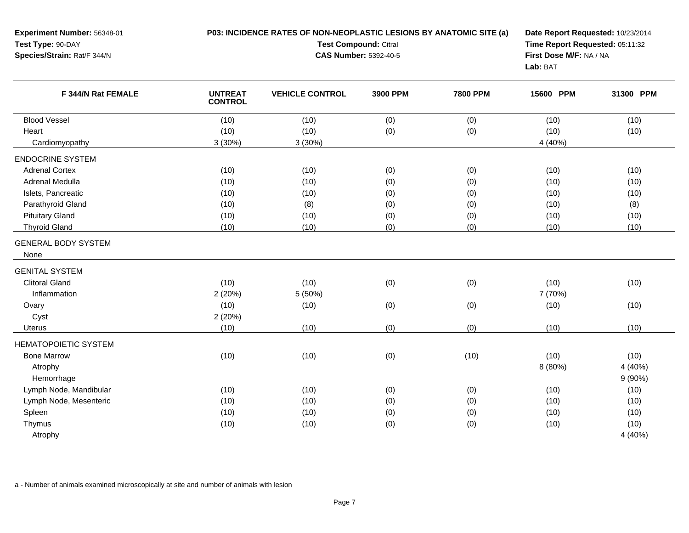| Experiment Number: 56348-01<br>Test Type: 90-DAY<br>Species/Strain: Rat/F 344/N |                                  | P03: INCIDENCE RATES OF NON-NEOPLASTIC LESIONS BY ANATOMIC SITE (a)<br>Test Compound: Citral<br><b>CAS Number: 5392-40-5</b> | Date Report Requested: 10/23/2014<br>Time Report Requested: 05:11:32<br>First Dose M/F: NA / NA<br>Lab: BAT |                 |           |           |
|---------------------------------------------------------------------------------|----------------------------------|------------------------------------------------------------------------------------------------------------------------------|-------------------------------------------------------------------------------------------------------------|-----------------|-----------|-----------|
| F 344/N Rat FEMALE                                                              | <b>UNTREAT</b><br><b>CONTROL</b> | <b>VEHICLE CONTROL</b>                                                                                                       | 3900 PPM                                                                                                    | <b>7800 PPM</b> | 15600 PPM | 31300 PPM |
| <b>Blood Vessel</b>                                                             | (10)                             | (10)                                                                                                                         | (0)                                                                                                         | (0)             | (10)      | (10)      |
| Heart                                                                           | (10)                             | (10)                                                                                                                         | (0)                                                                                                         | (0)             | (10)      | (10)      |
| Cardiomyopathy                                                                  | 3(30%)                           | 3(30%)                                                                                                                       |                                                                                                             |                 | 4 (40%)   |           |
| <b>ENDOCRINE SYSTEM</b>                                                         |                                  |                                                                                                                              |                                                                                                             |                 |           |           |
| <b>Adrenal Cortex</b>                                                           | (10)                             | (10)                                                                                                                         | (0)                                                                                                         | (0)             | (10)      | (10)      |
| Adrenal Medulla                                                                 | (10)                             | (10)                                                                                                                         | (0)                                                                                                         | (0)             | (10)      | (10)      |
| Islets, Pancreatic                                                              | (10)                             | (10)                                                                                                                         | (0)                                                                                                         | (0)             | (10)      | (10)      |
| Parathyroid Gland                                                               | (10)                             | (8)                                                                                                                          | (0)                                                                                                         | (0)             | (10)      | (8)       |
| <b>Pituitary Gland</b>                                                          | (10)                             | (10)                                                                                                                         | (0)                                                                                                         | (0)             | (10)      | (10)      |
| <b>Thyroid Gland</b>                                                            | (10)                             | (10)                                                                                                                         | (0)                                                                                                         | (0)             | (10)      | (10)      |
| <b>GENERAL BODY SYSTEM</b><br>None                                              |                                  |                                                                                                                              |                                                                                                             |                 |           |           |
| <b>GENITAL SYSTEM</b>                                                           |                                  |                                                                                                                              |                                                                                                             |                 |           |           |
| <b>Clitoral Gland</b>                                                           | (10)                             | (10)                                                                                                                         | (0)                                                                                                         | (0)             | (10)      | (10)      |
| Inflammation                                                                    | 2(20%)                           | 5 (50%)                                                                                                                      |                                                                                                             |                 | 7 (70%)   |           |
| Ovary                                                                           | (10)                             | (10)                                                                                                                         | (0)                                                                                                         | (0)             | (10)      | (10)      |
| Cyst                                                                            | 2(20%)                           |                                                                                                                              |                                                                                                             |                 |           |           |
| Uterus                                                                          | (10)                             | (10)                                                                                                                         | (0)                                                                                                         | (0)             | (10)      | (10)      |
| <b>HEMATOPOIETIC SYSTEM</b>                                                     |                                  |                                                                                                                              |                                                                                                             |                 |           |           |
| <b>Bone Marrow</b>                                                              | (10)                             | (10)                                                                                                                         | (0)                                                                                                         | (10)            | (10)      | (10)      |
| Atrophy                                                                         |                                  |                                                                                                                              |                                                                                                             |                 | 8 (80%)   | 4 (40%)   |
| Hemorrhage                                                                      |                                  |                                                                                                                              |                                                                                                             |                 |           | 9(90%)    |
| Lymph Node, Mandibular                                                          | (10)                             | (10)                                                                                                                         | (0)                                                                                                         | (0)             | (10)      | (10)      |
| Lymph Node, Mesenteric                                                          | (10)                             | (10)                                                                                                                         | (0)                                                                                                         | (0)             | (10)      | (10)      |
| Spleen                                                                          | (10)                             | (10)                                                                                                                         | (0)                                                                                                         | (0)             | (10)      | (10)      |
| Thymus                                                                          | (10)                             | (10)                                                                                                                         | (0)                                                                                                         | (0)             | (10)      | (10)      |
| Atrophy                                                                         |                                  |                                                                                                                              |                                                                                                             |                 |           | 4 (40%)   |